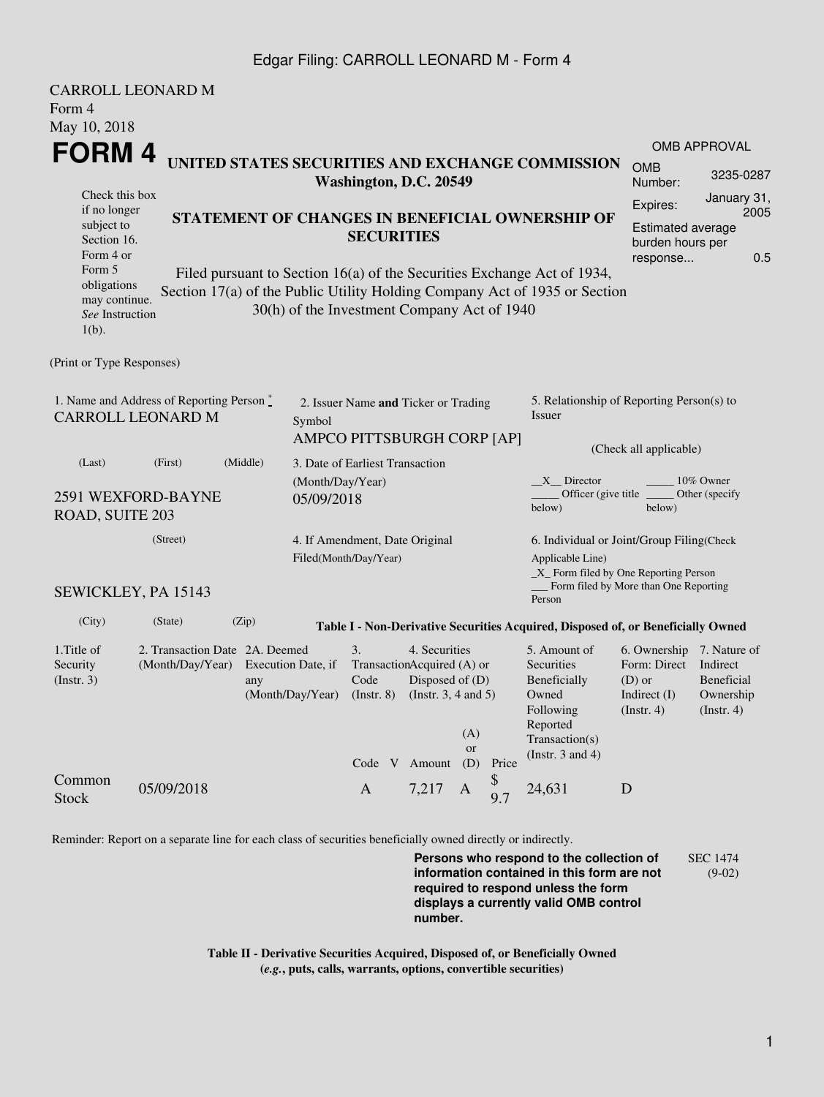## Edgar Filing: CARROLL LEONARD M - Form 4

| <b>CARROLL LEONARD M</b>                                                                                                                                                                                                                                                                   |                                                    |                                                                      |                                                                              |                               |                                                                                                             |                                                                                                           |                                                          |                                                                                                                         |                                                                                        |                                                    |  |
|--------------------------------------------------------------------------------------------------------------------------------------------------------------------------------------------------------------------------------------------------------------------------------------------|----------------------------------------------------|----------------------------------------------------------------------|------------------------------------------------------------------------------|-------------------------------|-------------------------------------------------------------------------------------------------------------|-----------------------------------------------------------------------------------------------------------|----------------------------------------------------------|-------------------------------------------------------------------------------------------------------------------------|----------------------------------------------------------------------------------------|----------------------------------------------------|--|
| Form 4                                                                                                                                                                                                                                                                                     |                                                    |                                                                      |                                                                              |                               |                                                                                                             |                                                                                                           |                                                          |                                                                                                                         |                                                                                        |                                                    |  |
| May 10, 2018                                                                                                                                                                                                                                                                               |                                                    |                                                                      |                                                                              |                               |                                                                                                             |                                                                                                           |                                                          |                                                                                                                         |                                                                                        |                                                    |  |
| FORM 4                                                                                                                                                                                                                                                                                     |                                                    |                                                                      |                                                                              |                               |                                                                                                             |                                                                                                           |                                                          | OMB APPROVAL                                                                                                            |                                                                                        |                                                    |  |
| UNITED STATES SECURITIES AND EXCHANGE COMMISSION<br>Washington, D.C. 20549                                                                                                                                                                                                                 |                                                    |                                                                      |                                                                              |                               |                                                                                                             |                                                                                                           |                                                          | <b>OMB</b><br>Number:                                                                                                   | 3235-0287                                                                              |                                                    |  |
| Check this box<br>if no longer<br>subject to<br>Section 16.                                                                                                                                                                                                                                |                                                    | STATEMENT OF CHANGES IN BENEFICIAL OWNERSHIP OF<br><b>SECURITIES</b> |                                                                              |                               |                                                                                                             |                                                                                                           | Expires:<br><b>Estimated average</b><br>burden hours per | January 31,<br>2005                                                                                                     |                                                                                        |                                                    |  |
| Form 4 or<br>Form 5<br>Filed pursuant to Section 16(a) of the Securities Exchange Act of 1934,<br>obligations<br>Section 17(a) of the Public Utility Holding Company Act of 1935 or Section<br>may continue.<br>30(h) of the Investment Company Act of 1940<br>See Instruction<br>$1(b)$ . |                                                    |                                                                      |                                                                              |                               |                                                                                                             |                                                                                                           |                                                          | response                                                                                                                | 0.5                                                                                    |                                                    |  |
| (Print or Type Responses)                                                                                                                                                                                                                                                                  |                                                    |                                                                      |                                                                              |                               |                                                                                                             |                                                                                                           |                                                          |                                                                                                                         |                                                                                        |                                                    |  |
| 1. Name and Address of Reporting Person $\stackrel{*}{\text{-}}$<br><b>CARROLL LEONARD M</b>                                                                                                                                                                                               |                                                    |                                                                      | 2. Issuer Name and Ticker or Trading<br>Symbol<br>AMPCO PITTSBURGH CORP [AP] |                               |                                                                                                             |                                                                                                           |                                                          | 5. Relationship of Reporting Person(s) to<br>Issuer                                                                     |                                                                                        |                                                    |  |
| (Last)                                                                                                                                                                                                                                                                                     | (First)                                            | (Middle)                                                             | 3. Date of Earliest Transaction                                              |                               |                                                                                                             |                                                                                                           |                                                          |                                                                                                                         | (Check all applicable)                                                                 |                                                    |  |
| 2591 WEXFORD-BAYNE<br>ROAD, SUITE 203                                                                                                                                                                                                                                                      |                                                    |                                                                      | (Month/Day/Year)<br>05/09/2018                                               |                               |                                                                                                             |                                                                                                           |                                                          | $X$ Director<br>10% Owner<br>Officer (give title)<br>Other (specify<br>below)<br>below)                                 |                                                                                        |                                                    |  |
|                                                                                                                                                                                                                                                                                            | (Street)                                           | 4. If Amendment, Date Original<br>Filed(Month/Day/Year)              |                                                                              |                               |                                                                                                             | 6. Individual or Joint/Group Filing(Check<br>Applicable Line)<br>$\_X$ Form filed by One Reporting Person |                                                          |                                                                                                                         |                                                                                        |                                                    |  |
| SEWICKLEY, PA 15143                                                                                                                                                                                                                                                                        |                                                    |                                                                      |                                                                              |                               |                                                                                                             |                                                                                                           |                                                          | Person                                                                                                                  | Form filed by More than One Reporting                                                  |                                                    |  |
| (City)                                                                                                                                                                                                                                                                                     | (State)                                            | (Zip)                                                                |                                                                              |                               |                                                                                                             |                                                                                                           |                                                          | Table I - Non-Derivative Securities Acquired, Disposed of, or Beneficially Owned                                        |                                                                                        |                                                    |  |
| 1. Title of<br>Security<br>(Insert. 3)                                                                                                                                                                                                                                                     | 2. Transaction Date 2A. Deemed<br>(Month/Day/Year) | any                                                                  | Execution Date, if<br>(Month/Day/Year)                                       | 3.<br>Code<br>$($ Instr. $8)$ | 4. Securities<br>TransactionAcquired (A) or<br>Disposed of (D)<br>(Instr. $3, 4$ and $5$ )<br>Code V Amount | (A)<br>or<br>(D)                                                                                          | Price                                                    | 5. Amount of<br>Securities<br>Beneficially<br>Owned<br>Following<br>Reported<br>Transaction(s)<br>(Instr. $3$ and $4$ ) | 6. Ownership 7. Nature of<br>Form: Direct<br>$(D)$ or<br>Indirect $(I)$<br>(Insert. 4) | Indirect<br>Beneficial<br>Ownership<br>(Insert. 4) |  |
| Common<br><b>Stock</b>                                                                                                                                                                                                                                                                     | 05/09/2018                                         |                                                                      |                                                                              | $\mathbf{A}$                  | 7,217                                                                                                       | $\mathbf{A}$                                                                                              | \$<br>9.7                                                | 24,631                                                                                                                  | D                                                                                      |                                                    |  |

Reminder: Report on a separate line for each class of securities beneficially owned directly or indirectly.

**Persons who respond to the collection of information contained in this form are not required to respond unless the form displays a currently valid OMB control number.** SEC 1474 (9-02)

**Table II - Derivative Securities Acquired, Disposed of, or Beneficially Owned (***e.g.***, puts, calls, warrants, options, convertible securities)**